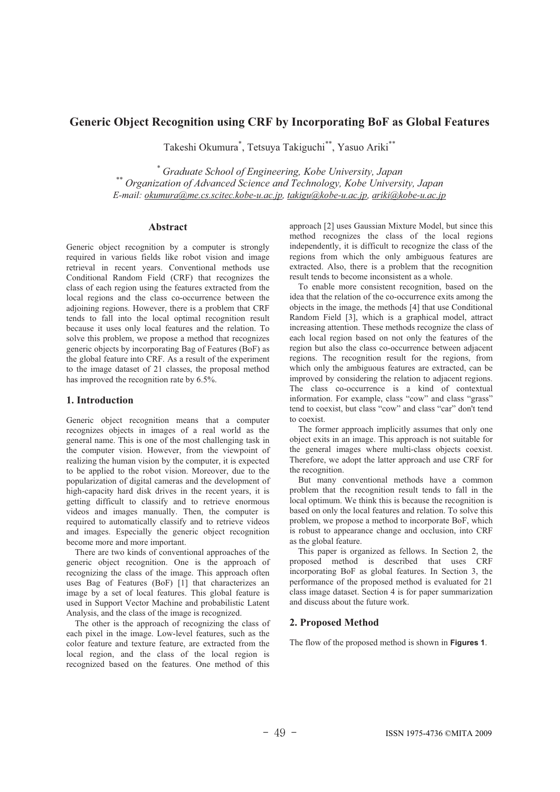# **Generic Object Recognition using CRF by Incorporating BoF as Global Features**

Takeshi Okumura\* , Tetsuya Takiguchi\*\*, Yasuo Ariki\*\*

\* Graduate School of Engineering, Kobe University, Japan <sup>\*\*</sup> Organization of Advanced Science and Technology, Kobe University, Japan *E-mail: okumura@me.cs.scitec.kobe-u.ac.jp, takigu@kobe-u.ac.jp, ariki@kobe-u.ac.jp*

#### **Abstract**

Generic object recognition by a computer is strongly required in various fields like robot vision and image retrieval in recent years. Conventional methods use Conditional Random Field (CRF) that recognizes the class of each region using the features extracted from the local regions and the class co-occurrence between the adjoining regions. However, there is a problem that CRF tends to fall into the local optimal recognition result because it uses only local features and the relation. To solve this problem, we propose a method that recognizes generic objects by incorporating Bag of Features (BoF) as the global feature into CRF. As a result of the experiment to the image dataset of 21 classes, the proposal method has improved the recognition rate by 6.5%.

# **1. Introduction**

Generic object recognition means that a computer recognizes objects in images of a real world as the general name. This is one of the most challenging task in the computer vision. However, from the viewpoint of realizing the human vision by the computer, it is expected to be applied to the robot vision. Moreover, due to the popularization of digital cameras and the development of high-capacity hard disk drives in the recent years, it is getting difficult to classify and to retrieve enormous videos and images manually. Then, the computer is required to automatically classify and to retrieve videos and images. Especially the generic object recognition become more and more important.

There are two kinds of conventional approaches of the generic object recognition. One is the approach of recognizing the class of the image. This approach often uses Bag of Features (BoF) [1] that characterizes an image by a set of local features. This global feature is used in Support Vector Machine and probabilistic Latent Analysis, and the class of the image is recognized.

The other is the approach of recognizing the class of each pixel in the image. Low-level features, such as the color feature and texture feature, are extracted from the local region, and the class of the local region is recognized based on the features. One method of this approach [2] uses Gaussian Mixture Model, but since this method recognizes the class of the local regions independently, it is difficult to recognize the class of the regions from which the only ambiguous features are extracted. Also, there is a problem that the recognition result tends to become inconsistent as a whole.

To enable more consistent recognition, based on the idea that the relation of the co-occurrence exits among the objects in the image, the methods [4] that use Conditional Random Field [3], which is a graphical model, attract increasing attention. These methods recognize the class of each local region based on not only the features of the region but also the class co-occurrence between adjacent regions. The recognition result for the regions, from which only the ambiguous features are extracted, can be improved by considering the relation to adjacent regions. The class co-occurrence is a kind of contextual information. For example, class "cow" and class "grass" tend to coexist, but class "cow" and class "car" don't tend to coexist.

The former approach implicitly assumes that only one object exits in an image. This approach is not suitable for the general images where multi-class objects coexist. Therefore, we adopt the latter approach and use CRF for the recognition.

But many conventional methods have a common problem that the recognition result tends to fall in the local optimum. We think this is because the recognition is based on only the local features and relation. To solve this problem, we propose a method to incorporate BoF, which is robust to appearance change and occlusion, into CRF as the global feature.

This paper is organized as fellows. In Section 2, the proposed method is described that uses CRF incorporating BoF as global features. In Section 3, the performance of the proposed method is evaluated for 21 class image dataset. Section 4 is for paper summarization and discuss about the future work.

#### **2. Proposed Method**

The flow of the proposed method is shown in **Figures 1**.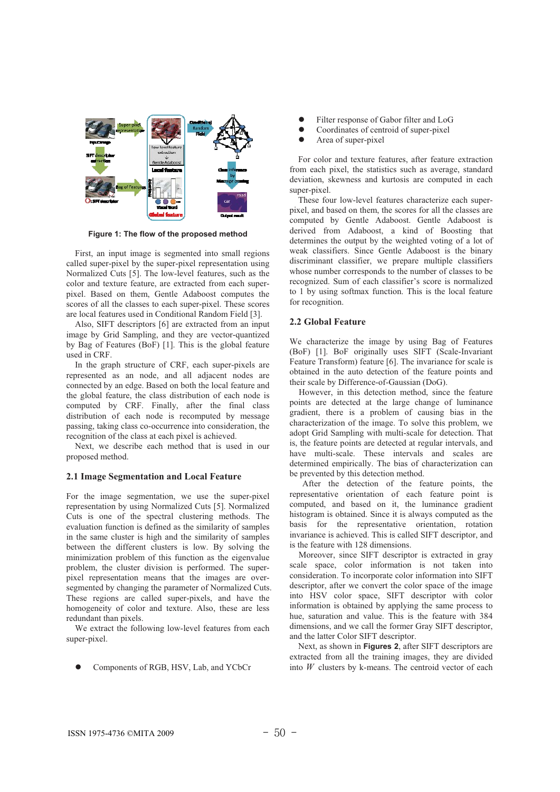

**Figure 1: The flow of the proposed method** 

First, an input image is segmented into small regions called super-pixel by the super-pixel representation using Normalized Cuts [5]. The low-level features, such as the color and texture feature, are extracted from each superpixel. Based on them, Gentle Adaboost computes the scores of all the classes to each super-pixel. These scores are local features used in Conditional Random Field [3].

Also, SIFT descriptors [6] are extracted from an input image by Grid Sampling, and they are vector-quantized by Bag of Features (BoF) [1]. This is the global feature used in CRF.

In the graph structure of CRF, each super-pixels are represented as an node, and all adjacent nodes are connected by an edge. Based on both the local feature and the global feature, the class distribution of each node is computed by CRF. Finally, after the final class distribution of each node is recomputed by message passing, taking class co-occurrence into consideration, the recognition of the class at each pixel is achieved.

Next, we describe each method that is used in our proposed method.

#### **2.1 Image Segmentation and Local Feature**

For the image segmentation, we use the super-pixel representation by using Normalized Cuts [5]. Normalized Cuts is one of the spectral clustering methods. The evaluation function is defined as the similarity of samples in the same cluster is high and the similarity of samples between the different clusters is low. By solving the minimization problem of this function as the eigenvalue problem, the cluster division is performed. The superpixel representation means that the images are oversegmented by changing the parameter of Normalized Cuts. These regions are called super-pixels, and have the homogeneity of color and texture. Also, these are less redundant than pixels.

We extract the following low-level features from each super-pixel.

Components of RGB, HSV, Lab, and YCbCr

- Filter response of Gabor filter and LoG
- Coordinates of centroid of super-pixel
- Area of super-pixel

For color and texture features, after feature extraction from each pixel, the statistics such as average, standard deviation, skewness and kurtosis are computed in each super-pixel.

These four low-level features characterize each superpixel, and based on them, the scores for all the classes are computed by Gentle Adaboost. Gentle Adaboost is derived from Adaboost, a kind of Boosting that determines the output by the weighted voting of a lot of weak classifiers. Since Gentle Adaboost is the binary discriminant classifier, we prepare multiple classifiers whose number corresponds to the number of classes to be recognized. Sum of each classifier's score is normalized to 1 by using softmax function. This is the local feature for recognition.

#### **2.2 Global Feature**

We characterize the image by using Bag of Features (BoF) [1]. BoF originally uses SIFT (Scale-Invariant Feature Transform) feature [6]. The invariance for scale is obtained in the auto detection of the feature points and their scale by Difference-of-Gaussian (DoG).

However, in this detection method, since the feature points are detected at the large change of luminance gradient, there is a problem of causing bias in the characterization of the image. To solve this problem, we adopt Grid Sampling with multi-scale for detection. That is, the feature points are detected at regular intervals, and have multi-scale. These intervals and scales are determined empirically. The bias of characterization can be prevented by this detection method.

After the detection of the feature points, the representative orientation of each feature point is computed, and based on it, the luminance gradient histogram is obtained. Since it is always computed as the basis for the representative orientation, rotation invariance is achieved. This is called SIFT descriptor, and is the feature with 128 dimensions.

Moreover, since SIFT descriptor is extracted in gray scale space, color information is not taken into consideration. To incorporate color information into SIFT descriptor, after we convert the color space of the image into HSV color space, SIFT descriptor with color information is obtained by applying the same process to hue, saturation and value. This is the feature with 384 dimensions, and we call the former Gray SIFT descriptor, and the latter Color SIFT descriptor.

Next, as shown in **Figures 2**, after SIFT descriptors are extracted from all the training images, they are divided into *W* clusters by k-means. The centroid vector of each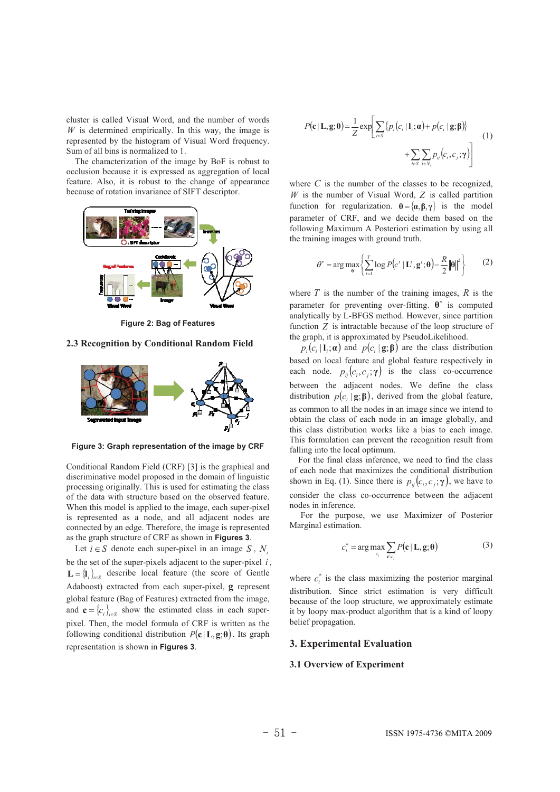cluster is called Visual Word, and the number of words  $W$  is determined empirically. In this way, the image is represented by the histogram of Visual Word frequency. Sum of all bins is normalized to 1.

The characterization of the image by BoF is robust to occlusion because it is expressed as aggregation of local feature. Also, it is robust to the change of appearance because of rotation invariance of SIFT descriptor.



**Figure 2: Bag of Features**

# **2.3 Recognition by Conditional Random Field**



**Figure 3: Graph representation of the image by CRF**

Conditional Random Field (CRF) [3] is the graphical and discriminative model proposed in the domain of linguistic processing originally. This is used for estimating the class of the data with structure based on the observed feature. When this model is applied to the image, each super-pixel is represented as a node, and all adjacent nodes are connected by an edge. Therefore, the image is represented as the graph structure of CRF as shown in **Figures 3**.

Let  $i \in S$  denote each super-pixel in an image *S*, *N<sub>i</sub>* be the set of the super-pixels adjacent to the super-pixel *i* ,  $\mathbf{L} = \{\mathbf{l}_{i}\}_{i \in S}$  describe local feature (the score of Gentle Adaboost) extracted from each super-pixel, **g** represent global feature (Bag of Features) extracted from the image, and  ${\bf c} = \{c_i\}_{i \in S}$  show the estimated class in each superpixel. Then, the model formula of CRF is written as the following conditional distribution  $P(c|L, g; \theta)$ . Its graph representation is shown in **Figures 3**.

$$
P(\mathbf{c} | \mathbf{L}, \mathbf{g}; \boldsymbol{\theta}) = \frac{1}{Z} \exp \left[ \sum_{i \in S} \{ p_i(c_i | \mathbf{l}_i; \boldsymbol{\alpha}) + p(c_i | \mathbf{g}; \boldsymbol{\beta}) \} + \sum_{i \in S} \sum_{j \in N_i} p_{ij}(c_i, c_j; \boldsymbol{\gamma}) \right]
$$
(1)

where  $C$  is the number of the classes to be recognized, *W* is the number of Visual Word, *Z* is called partition function for regularization.  $\mathbf{\theta} = {\alpha, \beta, \gamma}$  is the model parameter of CRF, and we decide them based on the following Maximum A Posteriori estimation by using all the training images with ground truth.

$$
\theta^* = \arg \max_{\theta} \left\{ \sum_{t=1}^T \log P\left(c' \mid \mathbf{L}^t, \mathbf{g}^t; \theta\right) - \frac{R}{2} \|\theta\|^2 \right\} \tag{2}
$$

where  $T$  is the number of the training images,  $R$  is the parameter for preventing over-fitting.  $\theta^*$  is computed analytically by L-BFGS method. However, since partition function *Z* is intractable because of the loop structure of the graph, it is approximated by PseudoLikelihood.

 $p_i(c, |{\bf l}_i; {\bf \alpha})$  and  $p(c_i | {\bf g}; {\bf \beta})$  are the class distribution based on local feature and global feature respectively in each node.  $p_{ii}(c_i, c_i; \gamma)$  is the class co-occurrence between the adjacent nodes. We define the class distribution  $p(c_i | \mathbf{g}; \mathbf{\beta})$ , derived from the global feature, as common to all the nodes in an image since we intend to obtain the class of each node in an image globally, and this class distribution works like a bias to each image. This formulation can prevent the recognition result from falling into the local optimum.

For the final class inference, we need to find the class of each node that maximizes the conditional distribution shown in Eq. (1). Since there is  $p_{ii}(c_i, c_i; \gamma)$ , we have to consider the class co-occurrence between the adjacent nodes in inference.

For the purpose, we use Maximizer of Posterior Marginal estimation.

$$
c_i^* = \arg \max_{c_i} \sum_{\mathbf{c} \setminus c_i} P(\mathbf{c} \mid \mathbf{L}, \mathbf{g}; \mathbf{\theta})
$$
(3)

where  $c_i^*$  is the class maximizing the posterior marginal distribution. Since strict estimation is very difficult because of the loop structure, we approximately estimate it by loopy max-product algorithm that is a kind of loopy belief propagation.

# **3. Experimental Evaluation**

#### **3.1 Overview of Experiment**